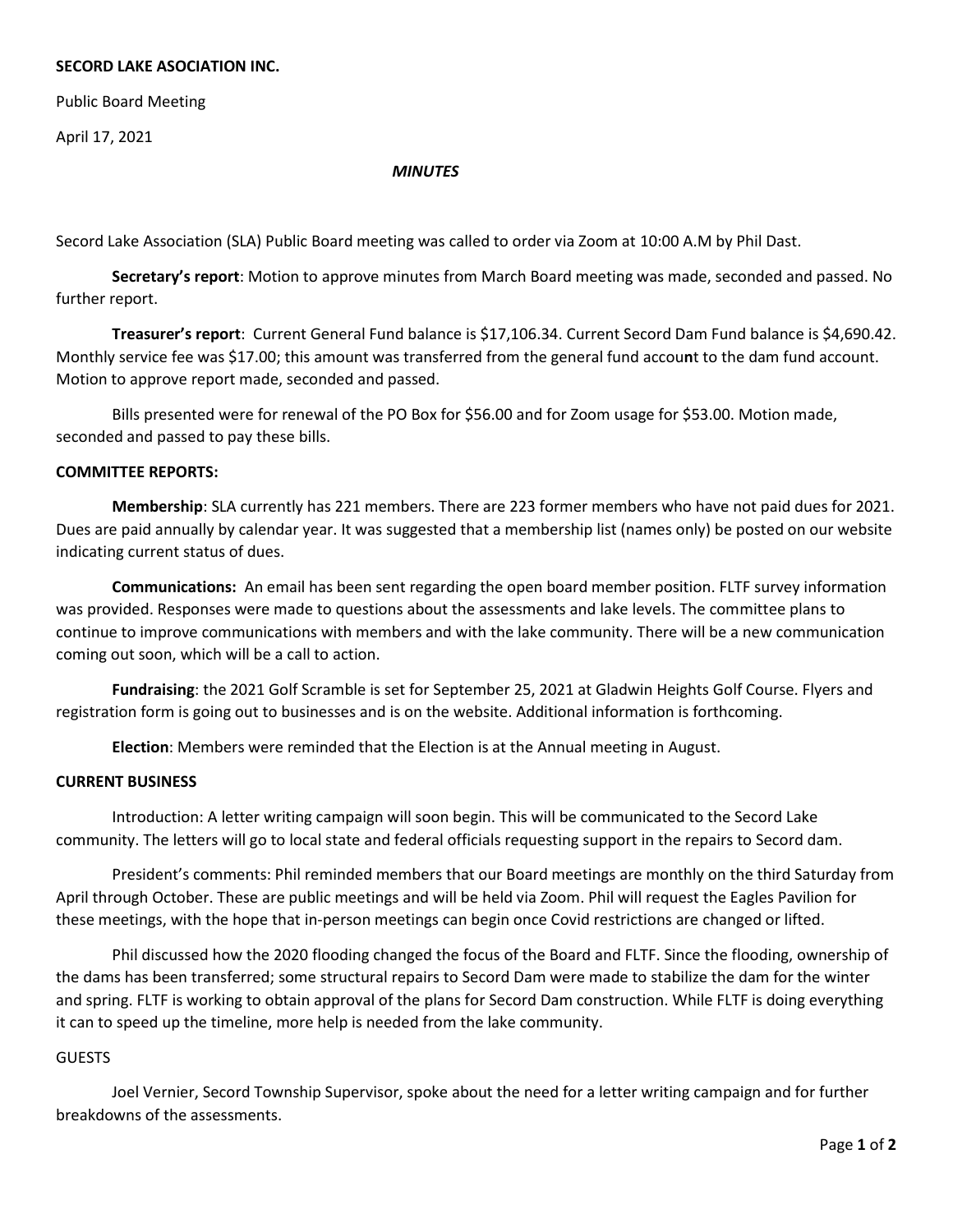# **SECORD LAKE ASOCIATION INC.**

Public Board Meeting

April 17, 2021

#### *MINUTES*

Secord Lake Association (SLA) Public Board meeting was called to order via Zoom at 10:00 A.M by Phil Dast.

**Secretary's report**: Motion to approve minutes from March Board meeting was made, seconded and passed. No further report.

**Treasurer's report**: Current General Fund balance is \$17,106.34. Current Secord Dam Fund balance is \$4,690.42. Monthly service fee was \$17.00; this amount was transferred from the general fund accou**n**t to the dam fund account. Motion to approve report made, seconded and passed.

Bills presented were for renewal of the PO Box for \$56.00 and for Zoom usage for \$53.00. Motion made, seconded and passed to pay these bills.

### **COMMITTEE REPORTS:**

**Membership**: SLA currently has 221 members. There are 223 former members who have not paid dues for 2021. Dues are paid annually by calendar year. It was suggested that a membership list (names only) be posted on our website indicating current status of dues.

**Communications:** An email has been sent regarding the open board member position. FLTF survey information was provided. Responses were made to questions about the assessments and lake levels. The committee plans to continue to improve communications with members and with the lake community. There will be a new communication coming out soon, which will be a call to action.

**Fundraising**: the 2021 Golf Scramble is set for September 25, 2021 at Gladwin Heights Golf Course. Flyers and registration form is going out to businesses and is on the website. Additional information is forthcoming.

**Election**: Members were reminded that the Election is at the Annual meeting in August.

### **CURRENT BUSINESS**

Introduction: A letter writing campaign will soon begin. This will be communicated to the Secord Lake community. The letters will go to local state and federal officials requesting support in the repairs to Secord dam.

President's comments: Phil reminded members that our Board meetings are monthly on the third Saturday from April through October. These are public meetings and will be held via Zoom. Phil will request the Eagles Pavilion for these meetings, with the hope that in-person meetings can begin once Covid restrictions are changed or lifted.

Phil discussed how the 2020 flooding changed the focus of the Board and FLTF. Since the flooding, ownership of the dams has been transferred; some structural repairs to Secord Dam were made to stabilize the dam for the winter and spring. FLTF is working to obtain approval of the plans for Secord Dam construction. While FLTF is doing everything it can to speed up the timeline, more help is needed from the lake community.

# GUESTS

Joel Vernier, Secord Township Supervisor, spoke about the need for a letter writing campaign and for further breakdowns of the assessments.